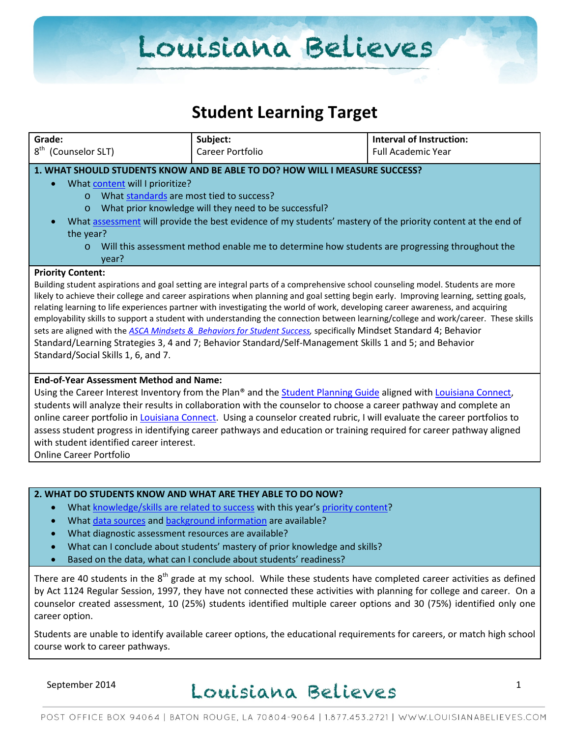# Louisiana Believes

### **Student Learning Target**

| Grade:                                                                                                                                                                                                                                                   | Subject:                                                                                                                              | <b>Interval of Instruction:</b> |  |  |
|----------------------------------------------------------------------------------------------------------------------------------------------------------------------------------------------------------------------------------------------------------|---------------------------------------------------------------------------------------------------------------------------------------|---------------------------------|--|--|
| 8 <sup>th</sup><br>(Counselor SLT)                                                                                                                                                                                                                       | Career Portfolio                                                                                                                      | <b>Full Academic Year</b>       |  |  |
| 1. WHAT SHOULD STUDENTS KNOW AND BE ABLE TO DO? HOW WILL I MEASURE SUCCESS?                                                                                                                                                                              |                                                                                                                                       |                                 |  |  |
| What content will I prioritize?                                                                                                                                                                                                                          |                                                                                                                                       |                                 |  |  |
| What standards are most tied to success?<br>$\circ$                                                                                                                                                                                                      |                                                                                                                                       |                                 |  |  |
| What prior knowledge will they need to be successful?<br>$\circ$                                                                                                                                                                                         |                                                                                                                                       |                                 |  |  |
|                                                                                                                                                                                                                                                          | What assessment will provide the best evidence of my students' mastery of the priority content at the end of                          |                                 |  |  |
| the year?                                                                                                                                                                                                                                                |                                                                                                                                       |                                 |  |  |
| Will this assessment method enable me to determine how students are progressing throughout the<br>$\circ$                                                                                                                                                |                                                                                                                                       |                                 |  |  |
| year?                                                                                                                                                                                                                                                    |                                                                                                                                       |                                 |  |  |
| <b>Priority Content:</b>                                                                                                                                                                                                                                 |                                                                                                                                       |                                 |  |  |
|                                                                                                                                                                                                                                                          | Building student aspirations and goal setting are integral parts of a comprehensive school counseling model. Students are more        |                                 |  |  |
|                                                                                                                                                                                                                                                          | likely to achieve their college and career aspirations when planning and goal setting begin early. Improving learning, setting goals, |                                 |  |  |
|                                                                                                                                                                                                                                                          | relating learning to life experiences partner with investigating the world of work, developing career awareness, and acquiring        |                                 |  |  |
| employability skills to support a student with understanding the connection between learning/college and work/career. These skills<br>sets are aligned with the ASCA Mindsets & Behaviors for Student Success, specifically Mindset Standard 4; Behavior |                                                                                                                                       |                                 |  |  |
|                                                                                                                                                                                                                                                          |                                                                                                                                       |                                 |  |  |
|                                                                                                                                                                                                                                                          | Standard/Learning Strategies 3, 4 and 7; Behavior Standard/Self-Management Skills 1 and 5; and Behavior                               |                                 |  |  |
| Standard/Social Skills 1, 6, and 7.                                                                                                                                                                                                                      |                                                                                                                                       |                                 |  |  |
| <b>End-of-Year Assessment Method and Name:</b>                                                                                                                                                                                                           |                                                                                                                                       |                                 |  |  |
| Using the Career Interest Inventory from the Plan® and the Student Planning Guide aligned with Louisiana Connect,                                                                                                                                        |                                                                                                                                       |                                 |  |  |
| students will analyze their results in collaboration with the counselor to choose a career pathway and complete an                                                                                                                                       |                                                                                                                                       |                                 |  |  |
| online career portfolio in Louisiana Connect. Using a counselor created rubric, I will evaluate the career portfolios to                                                                                                                                 |                                                                                                                                       |                                 |  |  |
| assess student progress in identifying career pathways and education or training required for career pathway aligned                                                                                                                                     |                                                                                                                                       |                                 |  |  |
| with student identified career interest.                                                                                                                                                                                                                 |                                                                                                                                       |                                 |  |  |
| <b>Online Career Portfolio</b>                                                                                                                                                                                                                           |                                                                                                                                       |                                 |  |  |
|                                                                                                                                                                                                                                                          |                                                                                                                                       |                                 |  |  |

#### **2. WHAT DO STUDENTS KNOW AND WHAT ARE THEY ABLE TO DO NOW?**

- Wha[t knowledge/skills are related to success](http://www.louisianabelieves.com/academics/2014-2015-curricular-package) with this year's [priority content?](http://www.louisianabelieves.com/resources/classroom-support-toolbox/teacher-support-toolbox/standards)
- Wha[t data sources](http://www.louisianabelieves.com/resources/classroom-support-toolbox/teacher-support-toolbox/student-achievement-results) and [background information](http://www.louisianabelieves.com/resources/library/data-center) are available?
- What diagnostic assessment resources are available?
- What can I conclude about students' mastery of prior knowledge and skills?
- Based on the data, what can I conclude about students' readiness?

There are 40 students in the  $8<sup>th</sup>$  grade at my school. While these students have completed career activities as defined by Act 1124 Regular Session, 1997, they have not connected these activities with planning for college and career. On a counselor created assessment, 10 (25%) students identified multiple career options and 30 (75%) identified only one career option.

Students are unable to identify available career options, the educational requirements for careers, or match high school course work to career pathways.

### $S$ eptember 2014 Louisiana Believes  $1$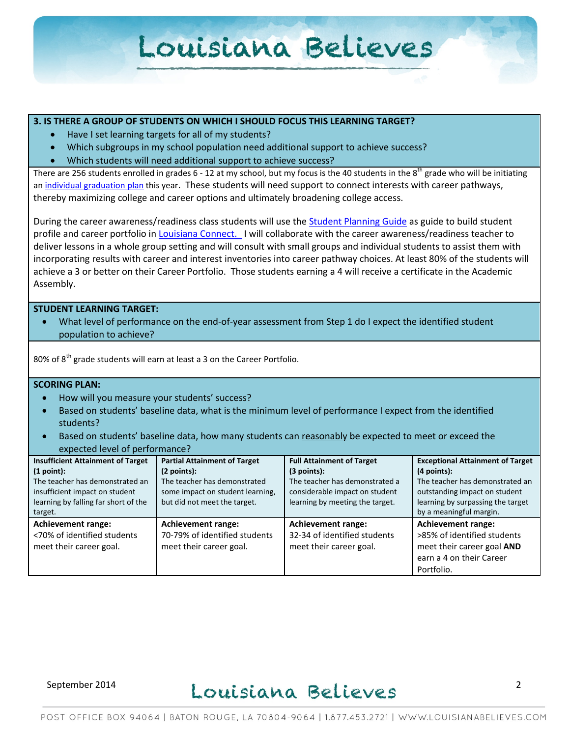## Louisiana Believes

#### **3. IS THERE A GROUP OF STUDENTS ON WHICH I SHOULD FOCUS THIS LEARNING TARGET?**

- Have I set learning targets for all of my students?
- Which subgroups in my school population need additional support to achieve success?
- Which students will need additional support to achieve success?

There are 256 students enrolled in grades 6 - 12 at my school, but my focus is the 40 students in the  $8^{th}$  grade who will be initiating a[n individual graduation plan](http://www.louisianabelieves.com/docs/default-source/counselor-toolbox-resources/individual-graduation-plan-(blank).pdf?sfvrsn=6) this year. These students will need support to connect interests with career pathways, thereby maximizing college and career options and ultimately broadening college access.

During the career awareness/readiness class students will use the [Student Planning Guide](http://www.louisianabelieves.com/docs/counselor-toolbox-resources/la-connect-student-guide.pdf?sfvrsn=0) as guide to build student profile and career portfolio in [Louisiana Connect.](https://www.louisianaconnect.org/Ext/Louisiana/Home/index.html) I will collaborate with the career awareness/readiness teacher to deliver lessons in a whole group setting and will consult with small groups and individual students to assist them with incorporating results with career and interest inventories into career pathway choices. At least 80% of the students will achieve a 3 or better on their Career Portfolio. Those students earning a 4 will receive a certificate in the Academic Assembly.

#### **STUDENT LEARNING TARGET:**

What level of performance on the end-of-year assessment from Step 1 do I expect the identified student population to achieve?

80% of 8<sup>th</sup> grade students will earn at least a 3 on the Career Portfolio.

#### **SCORING PLAN:**

- How will you measure your students' success?
- Based on students' baseline data, what is the minimum level of performance I expect from the identified students?
- Based on students' baseline data, how many students can reasonably be expected to meet or exceed the expected level of performance?

| <b>Insufficient Attainment of Target</b><br>(1 point):<br>The teacher has demonstrated an<br>insufficient impact on student<br>learning by falling far short of the<br>target. | <b>Partial Attainment of Target</b><br>(2 points):<br>The teacher has demonstrated<br>some impact on student learning,<br>but did not meet the target. | <b>Full Attainment of Target</b><br>$(3$ points):<br>The teacher has demonstrated a<br>considerable impact on student<br>learning by meeting the target. | <b>Exceptional Attainment of Target</b><br>$(4$ points):<br>The teacher has demonstrated an<br>outstanding impact on student<br>learning by surpassing the target<br>by a meaningful margin. |
|--------------------------------------------------------------------------------------------------------------------------------------------------------------------------------|--------------------------------------------------------------------------------------------------------------------------------------------------------|----------------------------------------------------------------------------------------------------------------------------------------------------------|----------------------------------------------------------------------------------------------------------------------------------------------------------------------------------------------|
| <b>Achievement range:</b><br><70% of identified students<br>meet their career goal.                                                                                            | <b>Achievement range:</b><br>70-79% of identified students<br>meet their career goal.                                                                  | <b>Achievement range:</b><br>32-34 of identified students<br>meet their career goal.                                                                     | <b>Achievement range:</b><br>>85% of identified students<br>meet their career goal AND<br>earn a 4 on their Career<br>Portfolio.                                                             |

## September 2014 Louisiana Believes<sup>2</sup>